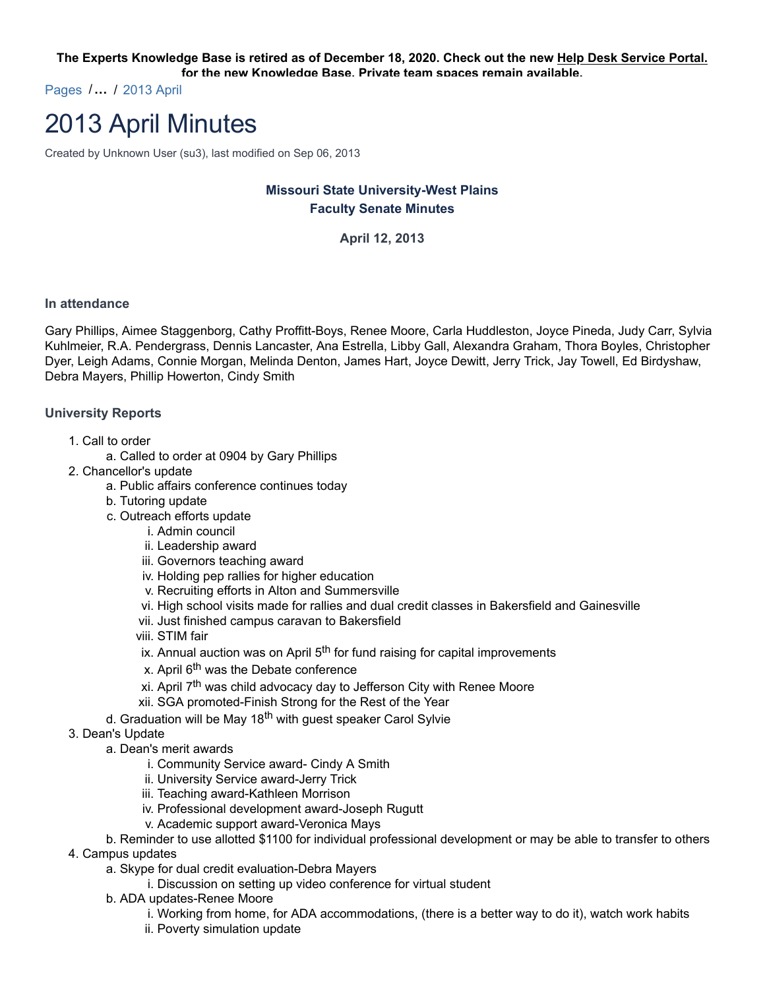**The Experts Knowledge Base is retired as of December 18, 2020. Check out the new Help Desk Service Portal. for the new Knowledge Base. Private team spaces remain available.**

Pages /**…** / 2013 April

# 2013 April Minutes

Created by Unknown User (su3), last modified on Sep 06, 2013

# **Missouri State University-West Plains Faculty Senate Minutes**

**April 12, 2013**

#### **In attendance**

Gary Phillips, Aimee Staggenborg, Cathy Proffitt-Boys, Renee Moore, Carla Huddleston, Joyce Pineda, Judy Carr, Sylvia Kuhlmeier, R.A. Pendergrass, Dennis Lancaster, Ana Estrella, Libby Gall, Alexandra Graham, Thora Boyles, Christopher Dyer, Leigh Adams, Connie Morgan, Melinda Denton, James Hart, Joyce Dewitt, Jerry Trick, Jay Towell, Ed Birdyshaw, Debra Mayers, Phillip Howerton, Cindy Smith

### **University Reports**

- 1. Call to order
	- a. Called to order at 0904 by Gary Phillips
- 2. Chancellor's update
	- a. Public affairs conference continues today
	- b. Tutoring update
	- c. Outreach efforts update
		- i. Admin council
		- ii. Leadership award
		- iii. Governors teaching award
		- iv. Holding pep rallies for higher education
		- v. Recruiting efforts in Alton and Summersville
		- vi. High school visits made for rallies and dual credit classes in Bakersfield and Gainesville
		- vii. Just finished campus caravan to Bakersfield
		- viii. STIM fair
		- ix. Annual auction was on April  $5<sup>th</sup>$  for fund raising for capital improvements
		- x. April 6<sup>th</sup> was the Debate conference
		- xi. April  $7<sup>th</sup>$  was child advocacy day to Jefferson City with Renee Moore
		- xii. SGA promoted-Finish Strong for the Rest of the Year
	- d. Graduation will be May 18<sup>th</sup> with guest speaker Carol Sylvie
- 3. Dean's Update
	- a. Dean's merit awards
		- i. Community Service award- Cindy A Smith
		- ii. University Service award-Jerry Trick
		- iii. Teaching award-Kathleen Morrison
		- iv. Professional development award-Joseph Rugutt
		- v. Academic support award-Veronica Mays
- b. Reminder to use allotted \$1100 for individual professional development or may be able to transfer to others
- 4. Campus updates
	- a. Skype for dual credit evaluation-Debra Mayers
		- i. Discussion on setting up video conference for virtual student
	- b. ADA updates-Renee Moore
		- i. Working from home, for ADA accommodations, (there is a better way to do it), watch work habits
		- ii. Poverty simulation update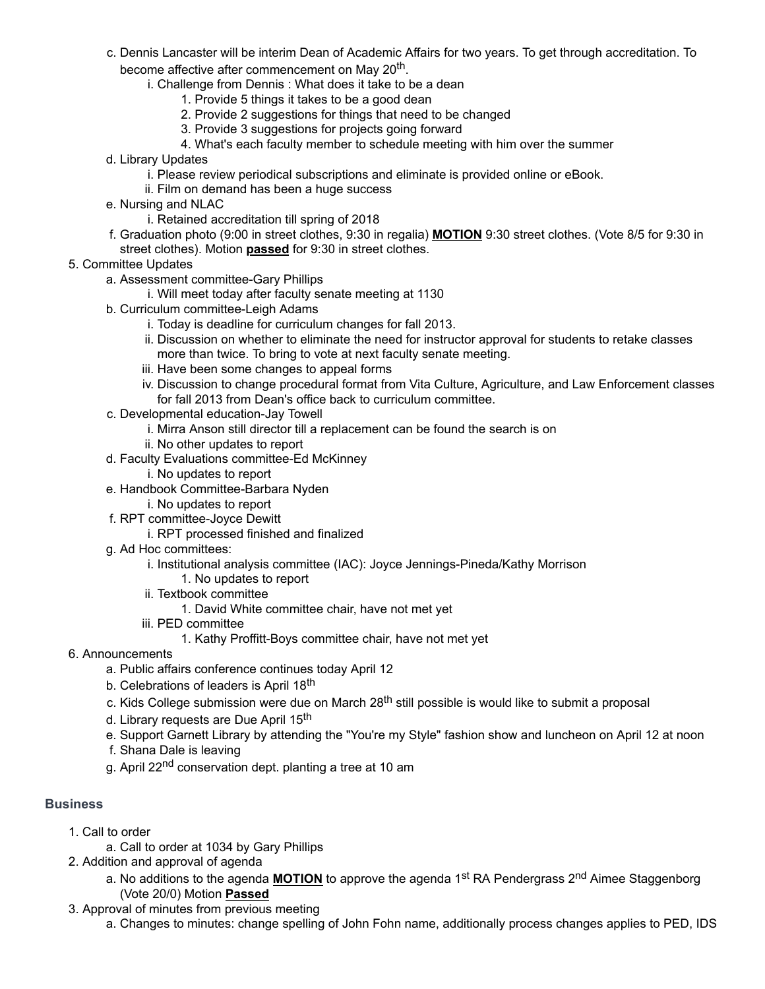- c. Dennis Lancaster will be interim Dean of Academic Affairs for two years. To get through accreditation. To become affective after commencement on May 20<sup>th</sup>.
	- i. Challenge from Dennis : What does it take to be a dean
		- 1. Provide 5 things it takes to be a good dean
		- 2. Provide 2 suggestions for things that need to be changed
		- 3. Provide 3 suggestions for projects going forward
		- 4. What's each faculty member to schedule meeting with him over the summer
- d. Library Updates
	- i. Please review periodical subscriptions and eliminate is provided online or eBook.
	- ii. Film on demand has been a huge success
- e. Nursing and NLAC
	- i. Retained accreditation till spring of 2018
- f. Graduation photo (9:00 in street clothes, 9:30 in regalia) **MOTION** 9:30 street clothes. (Vote 8/5 for 9:30 in street clothes). Motion **passed** for 9:30 in street clothes.
- 5. Committee Updates
	- a. Assessment committee-Gary Phillips
		- i. Will meet today after faculty senate meeting at 1130
	- b. Curriculum committee-Leigh Adams
		- i. Today is deadline for curriculum changes for fall 2013.
		- ii. Discussion on whether to eliminate the need for instructor approval for students to retake classes more than twice. To bring to vote at next faculty senate meeting.
		- iii. Have been some changes to appeal forms
		- iv. Discussion to change procedural format from Vita Culture, Agriculture, and Law Enforcement classes for fall 2013 from Dean's office back to curriculum committee.
	- c. Developmental education-Jay Towell
		- i. Mirra Anson still director till a replacement can be found the search is on
		- ii. No other updates to report
	- d. Faculty Evaluations committee-Ed McKinney
		- i. No updates to report
	- e. Handbook Committee-Barbara Nyden
		- i. No updates to report
	- f. RPT committee-Joyce Dewitt
		- i. RPT processed finished and finalized
	- g. Ad Hoc committees:
		- i. Institutional analysis committee (IAC): Joyce Jennings-Pineda/Kathy Morrison
			- 1. No updates to report
		- ii. Textbook committee
			- 1. David White committee chair, have not met yet
		- iii. PED committee
			- 1. Kathy Proffitt-Boys committee chair, have not met yet
- 6. Announcements
	- a. Public affairs conference continues today April 12
	- b. Celebrations of leaders is April 18<sup>th</sup>
	- c. Kids College submission were due on March 28<sup>th</sup> still possible is would like to submit a proposal
	- d. Library requests are Due April 15<sup>th</sup>
	- e. Support Garnett Library by attending the "You're my Style" fashion show and luncheon on April 12 at noon
	- f. Shana Dale is leaving
	- g. April 22<sup>nd</sup> conservation dept. planting a tree at 10 am

### **Business**

- 1. Call to order
	- a. Call to order at 1034 by Gary Phillips
- 2. Addition and approval of agenda
	- a. No additions to the agenda **MOTION** to approve the agenda 1<sup>st</sup> RA Pendergrass 2<sup>nd</sup> Aimee Staggenborg (Vote 20/0) Motion **Passed**
- 3. Approval of minutes from previous meeting
	- a. Changes to minutes: change spelling of John Fohn name, additionally process changes applies to PED, IDS